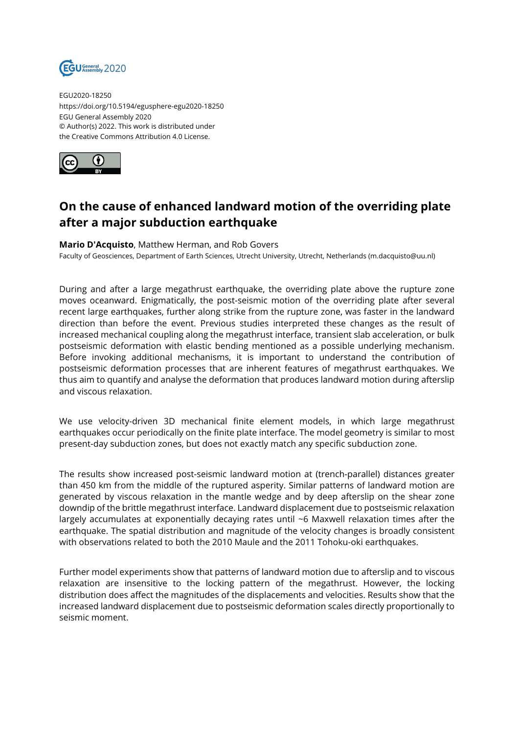

EGU2020-18250 https://doi.org/10.5194/egusphere-egu2020-18250 EGU General Assembly 2020 © Author(s) 2022. This work is distributed under the Creative Commons Attribution 4.0 License.



## **On the cause of enhanced landward motion of the overriding plate after a major subduction earthquake**

## **Mario D'Acquisto**, Matthew Herman, and Rob Govers

Faculty of Geosciences, Department of Earth Sciences, Utrecht University, Utrecht, Netherlands (m.dacquisto@uu.nl)

During and after a large megathrust earthquake, the overriding plate above the rupture zone moves oceanward. Enigmatically, the post-seismic motion of the overriding plate after several recent large earthquakes, further along strike from the rupture zone, was faster in the landward direction than before the event. Previous studies interpreted these changes as the result of increased mechanical coupling along the megathrust interface, transient slab acceleration, or bulk postseismic deformation with elastic bending mentioned as a possible underlying mechanism. Before invoking additional mechanisms, it is important to understand the contribution of postseismic deformation processes that are inherent features of megathrust earthquakes. We thus aim to quantify and analyse the deformation that produces landward motion during afterslip and viscous relaxation.

We use velocity-driven 3D mechanical finite element models, in which large megathrust earthquakes occur periodically on the finite plate interface. The model geometry is similar to most present-day subduction zones, but does not exactly match any specific subduction zone.

The results show increased post-seismic landward motion at (trench-parallel) distances greater than 450 km from the middle of the ruptured asperity. Similar patterns of landward motion are generated by viscous relaxation in the mantle wedge and by deep afterslip on the shear zone downdip of the brittle megathrust interface. Landward displacement due to postseismic relaxation largely accumulates at exponentially decaying rates until ~6 Maxwell relaxation times after the earthquake. The spatial distribution and magnitude of the velocity changes is broadly consistent with observations related to both the 2010 Maule and the 2011 Tohoku-oki earthquakes.

Further model experiments show that patterns of landward motion due to afterslip and to viscous relaxation are insensitive to the locking pattern of the megathrust. However, the locking distribution does affect the magnitudes of the displacements and velocities. Results show that the increased landward displacement due to postseismic deformation scales directly proportionally to seismic moment.